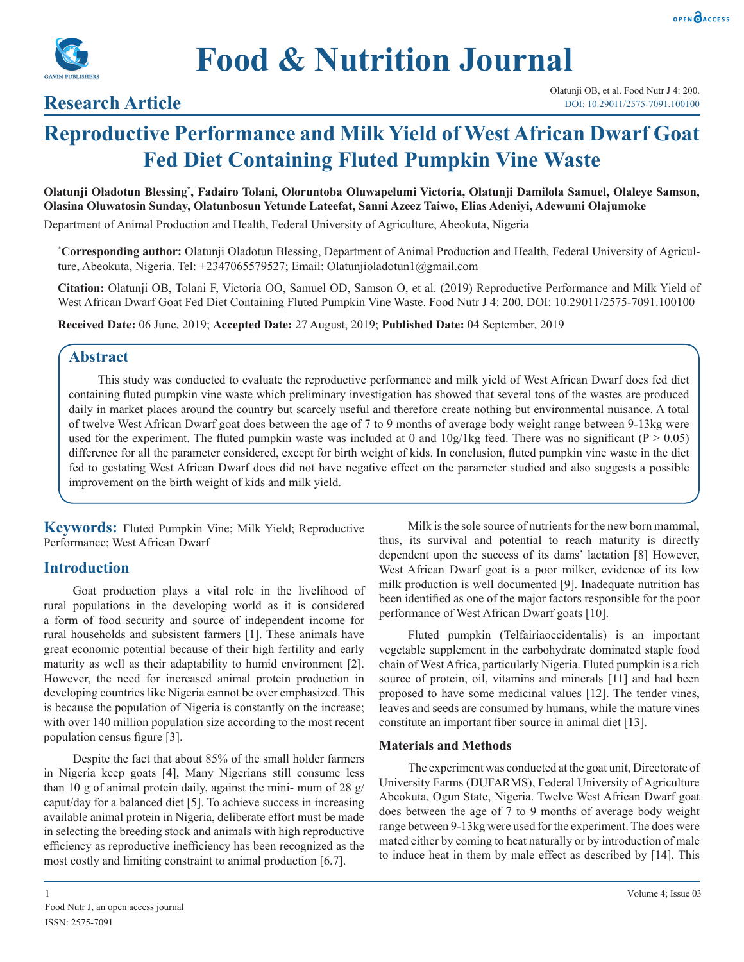



# **Research Article**

# **Reproductive Performance and Milk Yield of West African Dwarf Goat Fed Diet Containing Fluted Pumpkin Vine Waste**

**Olatunji Oladotun Blessing\* , Fadairo Tolani, Oloruntoba Oluwapelumi Victoria, Olatunji Damilola Samuel, Olaleye Samson, Olasina Oluwatosin Sunday, Olatunbosun Yetunde Lateefat, Sanni Azeez Taiwo, Elias Adeniyi, Adewumi Olajumoke**

Department of Animal Production and Health, Federal University of Agriculture, Abeokuta, Nigeria

**\* Corresponding author:** Olatunji Oladotun Blessing, Department of Animal Production and Health, Federal University of Agriculture, Abeokuta, Nigeria. Tel: +2347065579527; Email: Olatunjioladotun1@gmail.com

**Citation:** Olatunji OB, Tolani F, Victoria OO, Samuel OD, Samson O, et al. (2019) Reproductive Performance and Milk Yield of West African Dwarf Goat Fed Diet Containing Fluted Pumpkin Vine Waste. Food Nutr J 4: 200. DOI: 10.29011/2575-7091.100100

**Received Date:** 06 June, 2019; **Accepted Date:** 27 August, 2019; **Published Date:** 04 September, 2019

# **Abstract**

This study was conducted to evaluate the reproductive performance and milk yield of West African Dwarf does fed diet containing fluted pumpkin vine waste which preliminary investigation has showed that several tons of the wastes are produced daily in market places around the country but scarcely useful and therefore create nothing but environmental nuisance. A total of twelve West African Dwarf goat does between the age of 7 to 9 months of average body weight range between 9-13kg were used for the experiment. The fluted pumpkin waste was included at 0 and  $10g/1kg$  feed. There was no significant (P > 0.05) difference for all the parameter considered, except for birth weight of kids. In conclusion, fluted pumpkin vine waste in the diet fed to gestating West African Dwarf does did not have negative effect on the parameter studied and also suggests a possible improvement on the birth weight of kids and milk yield.

**Keywords:** Fluted Pumpkin Vine; Milk Yield; Reproductive Performance; West African Dwarf

# **Introduction**

Goat production plays a vital role in the livelihood of rural populations in the developing world as it is considered a form of food security and source of independent income for rural households and subsistent farmers [1]. These animals have great economic potential because of their high fertility and early maturity as well as their adaptability to humid environment [2]. However, the need for increased animal protein production in developing countries like Nigeria cannot be over emphasized. This is because the population of Nigeria is constantly on the increase; with over 140 million population size according to the most recent population census figure [3].

Despite the fact that about 85% of the small holder farmers in Nigeria keep goats [4], Many Nigerians still consume less than 10 g of animal protein daily, against the mini- mum of 28 g/ caput/day for a balanced diet [5]. To achieve success in increasing available animal protein in Nigeria, deliberate effort must be made in selecting the breeding stock and animals with high reproductive efficiency as reproductive inefficiency has been recognized as the most costly and limiting constraint to animal production [6,7].

Milk is the sole source of nutrients for the new born mammal, thus, its survival and potential to reach maturity is directly dependent upon the success of its dams' lactation [8] However, West African Dwarf goat is a poor milker, evidence of its low milk production is well documented [9]. Inadequate nutrition has been identified as one of the major factors responsible for the poor performance of West African Dwarf goats [10].

Fluted pumpkin (Telfairiaoccidentalis) is an important vegetable supplement in the carbohydrate dominated staple food chain of West Africa, particularly Nigeria. Fluted pumpkin is a rich source of protein, oil, vitamins and minerals [11] and had been proposed to have some medicinal values [12]. The tender vines, leaves and seeds are consumed by humans, while the mature vines constitute an important fiber source in animal diet [13].

#### **Materials and Methods**

The experiment was conducted at the goat unit, Directorate of University Farms (DUFARMS), Federal University of Agriculture Abeokuta, Ogun State, Nigeria. Twelve West African Dwarf goat does between the age of 7 to 9 months of average body weight range between 9-13kg were used for the experiment. The does were mated either by coming to heat naturally or by introduction of male to induce heat in them by male effect as described by [14]. This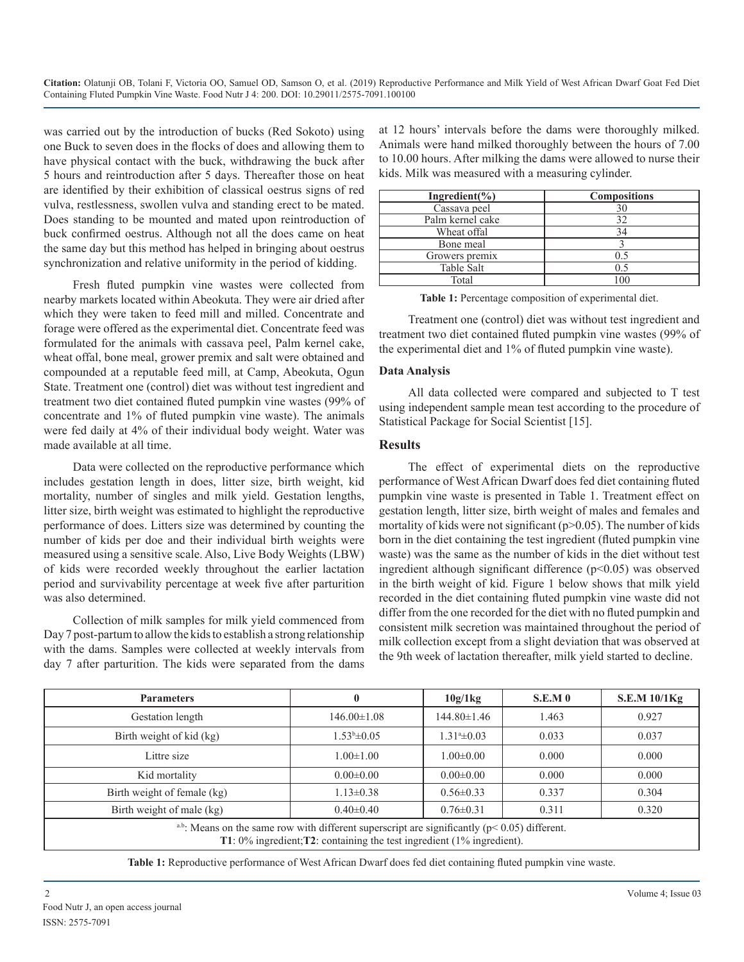**Citation:** Olatunji OB, Tolani F, Victoria OO, Samuel OD, Samson O, et al. (2019) Reproductive Performance and Milk Yield of West African Dwarf Goat Fed Diet Containing Fluted Pumpkin Vine Waste. Food Nutr J 4: 200. DOI: 10.29011/2575-7091.100100

was carried out by the introduction of bucks (Red Sokoto) using one Buck to seven does in the flocks of does and allowing them to have physical contact with the buck, withdrawing the buck after 5 hours and reintroduction after 5 days. Thereafter those on heat are identified by their exhibition of classical oestrus signs of red vulva, restlessness, swollen vulva and standing erect to be mated. Does standing to be mounted and mated upon reintroduction of buck confirmed oestrus. Although not all the does came on heat the same day but this method has helped in bringing about oestrus synchronization and relative uniformity in the period of kidding.

Fresh fluted pumpkin vine wastes were collected from nearby markets located within Abeokuta. They were air dried after which they were taken to feed mill and milled. Concentrate and forage were offered as the experimental diet. Concentrate feed was formulated for the animals with cassava peel, Palm kernel cake, wheat offal, bone meal, grower premix and salt were obtained and compounded at a reputable feed mill, at Camp, Abeokuta, Ogun State. Treatment one (control) diet was without test ingredient and treatment two diet contained fluted pumpkin vine wastes (99% of concentrate and 1% of fluted pumpkin vine waste). The animals were fed daily at 4% of their individual body weight. Water was made available at all time.

Data were collected on the reproductive performance which includes gestation length in does, litter size, birth weight, kid mortality, number of singles and milk yield. Gestation lengths, litter size, birth weight was estimated to highlight the reproductive performance of does. Litters size was determined by counting the number of kids per doe and their individual birth weights were measured using a sensitive scale. Also, Live Body Weights (LBW) of kids were recorded weekly throughout the earlier lactation period and survivability percentage at week five after parturition was also determined.

Collection of milk samples for milk yield commenced from Day 7 post-partum to allow the kids to establish a strong relationship with the dams. Samples were collected at weekly intervals from day 7 after parturition. The kids were separated from the dams at 12 hours' intervals before the dams were thoroughly milked. Animals were hand milked thoroughly between the hours of 7.00 to 10.00 hours. After milking the dams were allowed to nurse their kids. Milk was measured with a measuring cylinder.

| Ingredient( $\%$ ) | <b>Compositions</b> |  |  |
|--------------------|---------------------|--|--|
| Cassava peel       | 30                  |  |  |
| Palm kernel cake   | 32                  |  |  |
| Wheat offal        | 34                  |  |  |
| Bone meal          |                     |  |  |
| Growers premix     | 05                  |  |  |
| Table Salt         | 0.5                 |  |  |
| Total              | 100                 |  |  |

**Table 1:** Percentage composition of experimental diet.

Treatment one (control) diet was without test ingredient and treatment two diet contained fluted pumpkin vine wastes (99% of the experimental diet and 1% of fluted pumpkin vine waste).

#### **Data Analysis**

All data collected were compared and subjected to T test using independent sample mean test according to the procedure of Statistical Package for Social Scientist [15].

#### **Results**

The effect of experimental diets on the reproductive performance of West African Dwarf does fed diet containing fluted pumpkin vine waste is presented in Table 1. Treatment effect on gestation length, litter size, birth weight of males and females and mortality of kids were not significant  $(p>0.05)$ . The number of kids born in the diet containing the test ingredient (fluted pumpkin vine waste) was the same as the number of kids in the diet without test ingredient although significant difference (p<0.05) was observed in the birth weight of kid. Figure 1 below shows that milk yield recorded in the diet containing fluted pumpkin vine waste did not differ from the one recorded for the diet with no fluted pumpkin and consistent milk secretion was maintained throughout the period of milk collection except from a slight deviation that was observed at the 9th week of lactation thereafter, milk yield started to decline.

| <b>Parameters</b>                                                                                                                                                                            |                   | 10g/1kg         | <b>S.E.M 0</b> | S.E.M 10/1Kg |  |
|----------------------------------------------------------------------------------------------------------------------------------------------------------------------------------------------|-------------------|-----------------|----------------|--------------|--|
| Gestation length                                                                                                                                                                             | $146.00 \pm 1.08$ | 144.80±1.46     | 1.463          | 0.927        |  |
| Birth weight of kid (kg)                                                                                                                                                                     | $1.53^b \pm 0.05$ | $1.31*+0.03$    | 0.033          | 0.037        |  |
| Littre size                                                                                                                                                                                  | $1.00 \pm 1.00$   | $1.00 \pm 0.00$ | 0.000          | 0.000        |  |
| Kid mortality                                                                                                                                                                                | $0.00 \pm 0.00$   | $0.00 \pm 0.00$ | 0.000          | 0.000        |  |
| Birth weight of female (kg)                                                                                                                                                                  | $1.13 \pm 0.38$   | $0.56 \pm 0.33$ | 0.337          | 0.304        |  |
| Birth weight of male (kg)                                                                                                                                                                    | $0.40 \pm 0.40$   | $0.76 \pm 0.31$ | 0.311          | 0.320        |  |
| <sup>a,b</sup> : Means on the same row with different superscript are significantly ( $p$ < 0.05) different.<br>T1: $0\%$ ingredient; T2: containing the test ingredient $(1\%$ ingredient). |                   |                 |                |              |  |

**Table 1:** Reproductive performance of West African Dwarf does fed diet containing fluted pumpkin vine waste.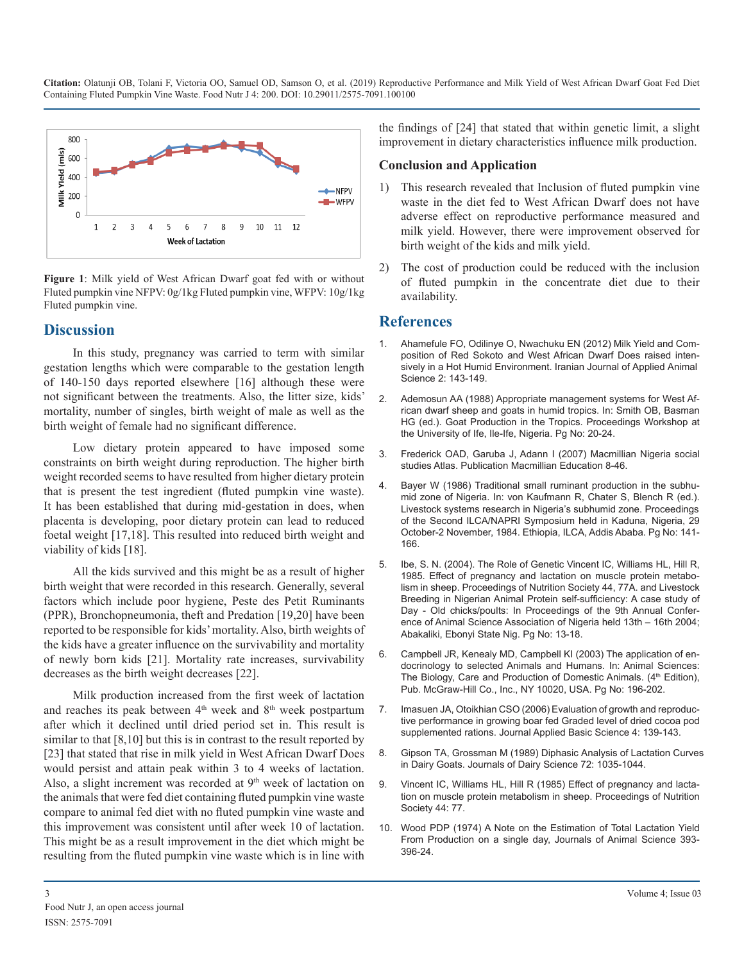**Citation:** Olatunji OB, Tolani F, Victoria OO, Samuel OD, Samson O, et al. (2019) Reproductive Performance and Milk Yield of West African Dwarf Goat Fed Diet Containing Fluted Pumpkin Vine Waste. Food Nutr J 4: 200. DOI: 10.29011/2575-7091.100100



**Figure 1**: Milk yield of West African Dwarf goat fed with or without Fluted pumpkin vine NFPV: 0g/1kg Fluted pumpkin vine, WFPV: 10g/1kg Fluted pumpkin vine.

# **Discussion**

[In this study, pregnancy was carried to term with similar](http://ijas.iaurasht.ac.ir/article_513548.html)  gestation lengths which were comparable to the gestation length of 140-150 days reported elsewhere [16] although these were not significant between the treatments. Also, the litter size, kids' [mortality, number of singles, birth weight of male as well as the](https://cgspace.cgiar.org/handle/10568/70786)  birth weight of female had no significant difference.

Low dietary protein appeared to have imposed some constraints on birth weight during reproduction. The higher birth weight recorded seems to have resulted from higher dietary protein that is present the test ingredient (fluted pumpkin vine waste). It has been established that during mid-gestation in does, when placenta is developing, poor dietary protein can lead to reduced foetal weight [17,18]. This resulted into reduced birth weight and viability of kids [18].

All the kids survived and this might be as a result of higher birth weight that were recorded in this research. Generally, several factors which include poor hygiene, Peste des Petit Ruminants (PPR), Bronchopneumonia, theft and Predation [19,20] have been reported to be responsible for kids' mortality. Also, birth weights of the kids have a greater influence on the survivability and mortality of newly born kids [21]. Mortality rate increases, survivability decreases as the birth weight decreases [22].

Milk production increased from the first week of lactation and reaches its peak between  $4<sup>th</sup>$  week and  $8<sup>th</sup>$  week postpartum after which it declined until dried period set in. This result is similar to that [8,10] but this is in contrast to the result reported by [23] that stated that rise in milk yield in West African Dwarf Does [would persist and attain peak within 3 to 4 weeks of lactation.](https://www.journalofdairyscience.org/article/S0022-0302(89)79199-2/fulltext)  Also, a slight increment was recorded at  $9<sup>th</sup>$  week of lactation on the animals that were fed diet containing fluted pumpkin vine waste compare to animal fed diet with no fluted pumpkin vine waste and this improvement was consistent until after week 10 of lactation. This might be as a result improvement in the diet which might be resulting from the fluted pumpkin vine waste which is in line with

the findings of [24] that stated that within genetic limit, a slight improvement in dietary characteristics influence milk production.

### **Conclusion and Application**

- 1) This research revealed that Inclusion of fluted pumpkin vine waste in the diet fed to West African Dwarf does not have adverse effect on reproductive performance measured and milk yield. However, there were improvement observed for birth weight of the kids and milk yield.
- 2) The cost of production could be reduced with the inclusion of fluted pumpkin in the concentrate diet due to their availability.

# **References**

- 1. [Ahamefule FO, Odilinye O, Nwachuku EN \(2012\) Milk Yield and Com](http://ijas.iaurasht.ac.ir/article_513548.html)position of Red Sokoto and West African Dwarf Does raised inten[sively in a Hot Humid Environment. Iranian Journal of Applied Animal](http://ijas.iaurasht.ac.ir/article_513548.html)  [Science 2: 143-149.](http://ijas.iaurasht.ac.ir/article_513548.html)
- 2. [Ademosun AA \(1988\) Appropriate management systems for West Af](https://cgspace.cgiar.org/handle/10568/70786)rican dwarf sheep and goats in humid tropics. In: Smith OB, Basman [HG \(ed.\). Goat Production in the Tropics. Proceedings Workshop at](https://cgspace.cgiar.org/handle/10568/70786)  [the University of Ife, Ile-Ife, Nigeria. Pg No: 20-24.](https://cgspace.cgiar.org/handle/10568/70786)
- 3. Frederick OAD, Garuba J, Adann I (2007) Macmillian Nigeria social studies Atlas. Publication Macmillian Education 8-46.
- 4. [Bayer W \(1986\) Traditional small ruminant production in the subhu](https://cgspace.cgiar.org/handle/10568/50051)[mid zone of Nigeria. In: von Kaufmann R, Chater S, Blench R \(ed.\).](https://cgspace.cgiar.org/handle/10568/50051)  [Livestock systems research in Nigeria's subhumid zone. Proceedings](https://cgspace.cgiar.org/handle/10568/50051)  [of the Second ILCA/NAPRI Symposium held in Kaduna, Nigeria, 29](https://cgspace.cgiar.org/handle/10568/50051)  [October-2 November, 1984. Ethiopia, ILCA, Addis Ababa. Pg No: 141-](https://cgspace.cgiar.org/handle/10568/50051) [166.](https://cgspace.cgiar.org/handle/10568/50051)
- 5. Ibe, S. N. (2004). The Role of Genetic Vincent IC, Williams HL, Hill R, 1985. Effect of pregnancy and lactation on muscle protein metabolism in sheep. Proceedings of Nutrition Society 44, 77A. and Livestock Breeding in Nigerian Animal Protein self-sufficiency: A case study of Day - Old chicks/poults: In Proceedings of the 9th Annual Conference of Animal Science Association of Nigeria held 13th – 16th 2004; Abakaliki, Ebonyi State Nig. Pg No: 13-18.
- 6. [Campbell JR, Kenealy MD, Campbell KI \(2003\) The application of en](https://books.google.co.in/books?id=tccQAAAAQBAJ&printsec=frontcover#v=onepage&q&f=false)[docrinology to selected Animals and Humans. In: Animal Sciences:](https://books.google.co.in/books?id=tccQAAAAQBAJ&printsec=frontcover#v=onepage&q&f=false) The Biology, Care and Production of Domestic Animals. (4<sup>th</sup> Edition), [Pub. McGraw-Hill Co., Inc., NY 10020, USA. Pg No: 196-202.](https://books.google.co.in/books?id=tccQAAAAQBAJ&printsec=frontcover#v=onepage&q&f=false)
- 7. Imasuen JA, Otoikhian CSO (2006) Evaluation of growth and reproductive performance in growing boar fed Graded level of dried cocoa pod supplemented rations. Journal Applied Basic Science 4: 139-143.
- 8. [Gipson TA, Grossman M \(1989\) Diphasic Analysis of Lactation Curves](https://www.journalofdairyscience.org/article/S0022-0302(89)79199-2/fulltext)  in Dairy Goats. Journals of Dairy Science 72: 1035-1044.
- 9. Vincent IC, Williams HL, Hill R (1985) Effect of pregnancy and lactation on muscle protein metabolism in sheep. Proceedings of Nutrition Society 44: 77.
- 10. Wood PDP (1974) A Note on the Estimation of Total Lactation Yield From Production on a single day, Journals of Animal Science 393- 396-24.